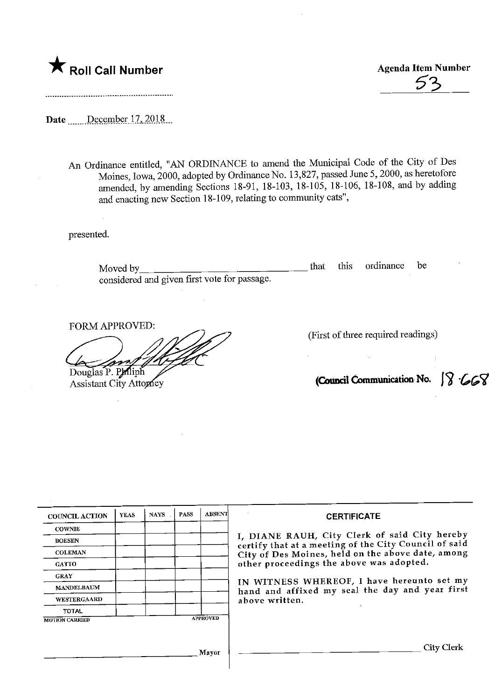

 $\frac{E}{2}$  Agenda Item Number Agenda Item Number

Date December 17, 2018

An Ordinance entitled, "AN ORDINANCE to amend the Municipal Code of the City of Des Moines, Iowa, 2000, adopted by Ordinance No. 13,827, passed June 5,2000, as heretofore amended, by amending Sections 18-91, 18-103, 18-105, 18-106, 18-108, and by adding and enacting new Section 18-109, relating to community cats",

presented.

Moved by\_ considered and given first vote for passage. that this ordinance be

FORM APPROVED:

Douglas P. Paliph<br>Assistant City Attorney

(First of three required readings)

(Council Communication No.  $\sqrt{8}$  ' $\cancel{668}$ 

| <b>COUNCIL ACTION</b> | <b>YEAS</b> | <b>NAYS</b> | <b>PASS</b> | ABSENT          | <b>CERTIFICATE</b>                                                                                                                                                                                                                                                                                                         |
|-----------------------|-------------|-------------|-------------|-----------------|----------------------------------------------------------------------------------------------------------------------------------------------------------------------------------------------------------------------------------------------------------------------------------------------------------------------------|
| <b>COWNIE</b>         |             |             |             |                 | I, DIANE RAUH, City Clerk of said City hereby<br>certify that at a meeting of the City Council of said<br>City of Des Moines, held on the above date, among<br>other proceedings the above was adopted.<br>IN WITNESS WHEREOF, I have hereunto set my<br>hand and affixed my seal the day and year first<br>above written. |
| <b>BOESEN</b>         |             |             |             |                 |                                                                                                                                                                                                                                                                                                                            |
| <b>COLEMAN</b>        |             |             |             |                 |                                                                                                                                                                                                                                                                                                                            |
| <b>GATTO</b>          |             |             |             |                 |                                                                                                                                                                                                                                                                                                                            |
| <b>GRAY</b>           |             |             |             |                 |                                                                                                                                                                                                                                                                                                                            |
| <b>MANDELBAUM</b>     |             |             |             |                 |                                                                                                                                                                                                                                                                                                                            |
| <b>WESTERGAARD</b>    |             |             |             |                 |                                                                                                                                                                                                                                                                                                                            |
| <b>TOTAL</b>          |             |             |             |                 |                                                                                                                                                                                                                                                                                                                            |
| <b>MOTION CARRIED</b> |             |             |             | <b>APPROVED</b> |                                                                                                                                                                                                                                                                                                                            |
|                       |             |             |             |                 |                                                                                                                                                                                                                                                                                                                            |
|                       |             |             |             |                 | City Clerk                                                                                                                                                                                                                                                                                                                 |
| Mayor                 |             |             |             |                 |                                                                                                                                                                                                                                                                                                                            |
|                       |             |             |             |                 |                                                                                                                                                                                                                                                                                                                            |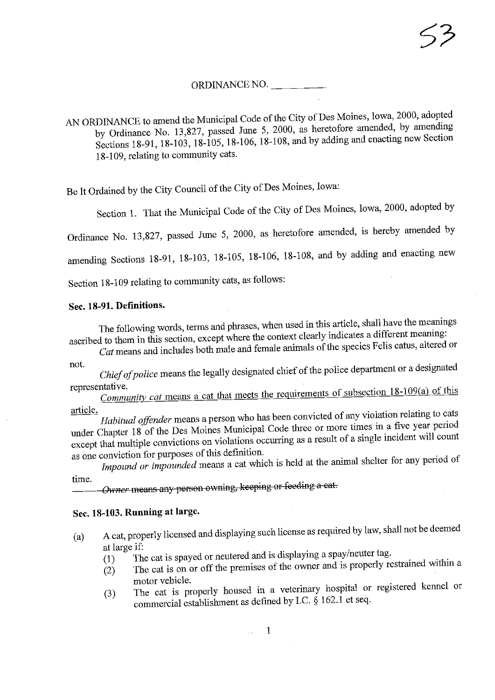### ORDINANCE NO.

AN ORDINANCE to amend the Municipal Code of the City of Des Moines, Iowa, 2000, adopted<br>by Ordinance No. 13,827, passed June 5, 2000, as heretofore amended, by amending  $\frac{1}{2}$  Ordinance No. 13,627, passed June 5, 2000, as here  $\frac{1}{2}$  and by adding and enacting new Section  $\text{Stions } 18-91, 18-103, 18-105, 18-106, 18-108, \text{where } 9$ 18-109, relating to community cats.

Be It Ordained by the City Council of the City of Des Moines, Iowa:

Section 1. That the Municipal Code of the City of Des Moines, Iowa, 2000, adopted by

Ordinance No. 13,827, passed June 5, 2000, as heretofore amended, is hereby amended by

amending Sections 18-91, 18-103, 18-105, 18-106, 18-108, ana by adding and enacting new

Section 18-109 relating to community cats, as follows:

#### Sec. 18-91. Definitions.

The following words, terms and phrases, when used in this article, shall have the meanings ascribed to them in this section, except where the context clearly indicates a different meaning:

cribed to them in this section, except where  $\epsilon$  is called context context can altered context clearly matches a different means  $\epsilon$ .  $\alpha t$  means and includes both male and female animals  $\frac{1}{t}$ not.

Chief of police means the legally designated chief of the police department or a designated representative.

Community cat means a cat that meets the requirements of subsection 18-109(a) of this

article.<br>Habitual offender means a person who has been convicted of any violation relating to cats under Chapter 18 of the Des Moines Municipal Code three or more times in a five year period nder Chapter 18 of the Des Moines Municipal Code three or more times incident will count except that multiple convictions on violations occurring as a result of  $\sim$ 

s one conviction for purposes of this definition.  $\epsilon$  impound or impounded means a cat which is held at the animal shelter for any period of any period of any period of any period of any period of any period of any period of any period of any period of any period of any time.

Owner means any person owning, keeping or feeding a cat.

### Sec. 18-103. Running at large.

- (a) A cat, properly licensed and displaying such license as required by law, shall not be deemed
	- at large if:<br>(1) The cat is spayed or neutered and is displaying a spay/neuter tag.
	- $(1)$  The cat is spayed or neutered and is displaying a spayer or spaying a spayer and is properly re- $(2)$  The cat is on or off the premises of the owner and is properly restrained with a set of the owner and is properly restrained with a set of the cat is properly restrained with a set of the contract of the contract of
	- motor vehicle. (3) The cat is properly housed in a veterinary hospital or  $\sim$   $\sim$  7.1 metabolism  $\sim$  7.1 metabolism  $\sim$  7.1 metabolism  $\sim$  7.1 metabolism  $\sim$  7.1 metabolism  $\sim$  7.1 metabolism  $\sim$  7.1 metabolism  $\sim$  7.1 metaboli commercial establishment as defmed by I.C. § 162.1 et seq.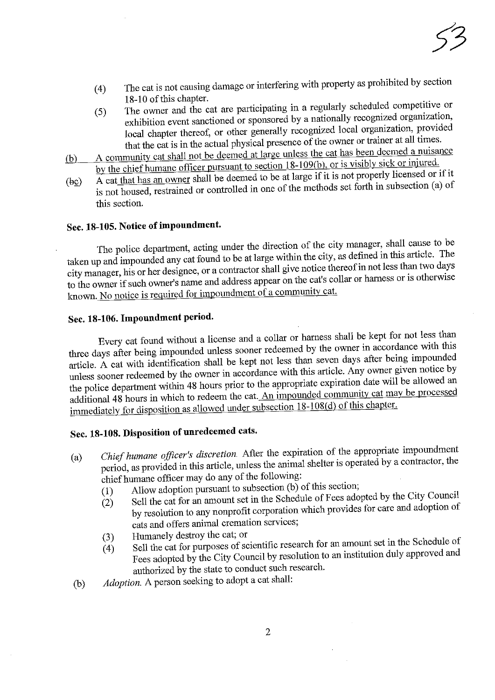- (4) The cat is not causing damage or interfering with property as prohibited by section
- The owner and the cat are participating in a regularly scheduled competitive or (5) The owner and the cat are participating in a regularly scheduled competitive or exhibition event sanctioned or sponsored by a nationally recognized organization, local chapter thereof, or other generally recognized local organization, provided that the cat is in the actual physical presence of the owner or trainer at all times.
- A community cat shall not be deemed at large unless the cat has been deemed a nuisance (b) A community cat shall not be deemed at large unless the cat has been deemed a number of the chief humane officer pursuant to section  $18-109(b)$ , or is visibly sick or injured.
- A cat that has an owner shall be deemed to be at large if it is not properly licensed or if it  $\exp(A \text{ cat} \text{ in a})$  A cat that has all owner shall be deemed to be at large  $\frac{1}{2}$  is not properly licensed of the property of forth in subsection (a) of not housed, restrained or controlled in one of the methods set  $\lambda$ this section.

## Sec. 18-105. Notice of impoundment.

The police department, acting under the direction of the city manager, shall cause to be taken up and impounded any cat found to be at large within the city, as defined in this article. The city manager, his or her designee, or a contractor shall give notice thereof in not less than two days changer, his or her designee, or a contractor shall give not the catter collar or harness or is otherwise the owner if such owner's name and address appear on the cats collar or the cats collar or  $\epsilon$  or  $\epsilon$  or  $\epsilon$  or  $\epsilon$  or  $\epsilon$  or  $\epsilon$  or  $\epsilon$  or  $\epsilon$  or  $\epsilon$  or  $\epsilon$  or  $\epsilon$  or  $\epsilon$  or  $\epsilon$  or  $\epsilon$  or  $\epsilon$  or  $\epsilon$  or  $\epsilon$ known. No notice is required for impoundment of a community cat.

# Sec. 18-106. Impoundment period.

Every cat found without a license and a collar or harness shall be kept for not less than three days after being impounded unless sooner redeemed by the owner in accordance with this article. A cat with identification shall be kept not less than seven days after being impounded unless sooner redeemed by the owner in accordance with this article. Any owner given notice by the police department within 48 hours prior to the appropriate expiration date will be allowed an additional 48 hours in which to redeem the cat. An impounded community cat may be processed dditional 48 hours in which to redeem the cat.  $\frac{1}{2}$  and  $\frac{1}{2}$  processes dependent may implemented. immediately for disposition as allowed under subsection 18-108(d)  $\frac{1}{\sqrt{2}}$ 

# Sec. 18-108. Disposition of unredeemed cats.

- (a) Chief humane officer's discretion. First the expiration of  $\frac{1}{1}$  the approximate impound the approximate impound  $\frac{1}{1}$  the approximate impoundment is one rated by a contractor, the period, as provided m this article, unless the animal shelter is operated by a contractor, the chief humane officer may do any of the following:<br>(1) Allow adoption pursuant to subsection (b) of this section;
	-
	- $\tilde{1}(2)$  Sell the cat for an amount set in the Schedule of Fees adopted by the City Council  $(2)$  Sell the cat for an amount set in the Schedule of  $\frac{1}{2}$  provides for care and adoption of  $\mathbf b$  resolution to any nonprofit corporation  $\mathbf c$  can can can adopt provides for care and adoption of  $\mathbf c$ cats and offers animal cremation services;<br>Humanely destroy the cat; or
	-
	- (3) Humanely destroy the cat; or<br>
	(4) Sell the cat for purposes of scientific research for an amount set in the Schedule of (4) Sell the cat for purposes of scientific research for an institution duly approved and Fees adopted by the City Council by resolution to an interval approach authorized by the state to conduct such research.
- $(b)$  Adoption. A person seeking to adopt a cat shall: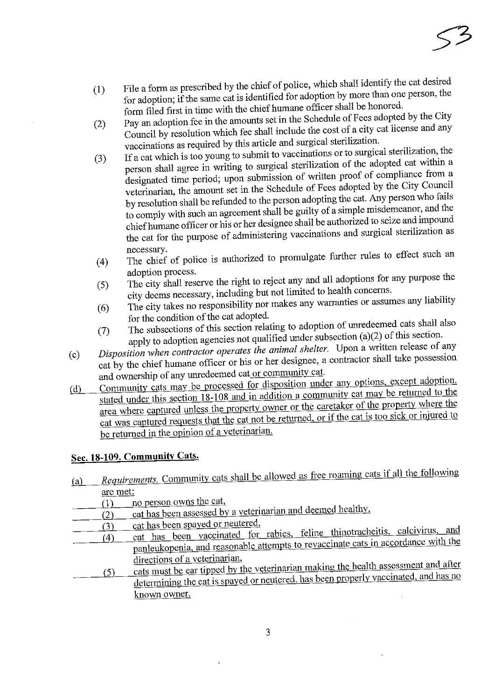- File a form as prescribed by the chief of police, which shall identify the cat desired<br>for adoption; if the same cat is identified for adoption by more than one person, the  $(1)$ form filed first in time with the chief humane officer shall be honored.
- Pay an adoption fee in the amounts set in the Schedule of Fees adopted by the City  $(2)$ Council by resolution which fee shall include the cost of a city cat license and any vaccinations as required by this article and surgical sterilization.
- If a cat which is too young to submit to vaccinations or to surgical sterilization, the (3) If a cat which is too young to submit to vaccinations or to surgical sterilization of the adopted cat within a person shall agree in writing to surgical sterilization of the adopted cat within a designated time period; upon submission of written proof of compliance from a veterinarian, the amount set in the Schedule of Fees adopted by the City Council by resolution shall be refunded to the person adopting the cat. Any person who fails to comply with such an agreement shall be guilty of a simple misdemeanor, and the chief humane officer or his or her designee shall be authorized to seize and impound  $\epsilon$  humane of her  $\epsilon$  is or  $\epsilon$  designed to see and supplied sterilization as  $t_{\rm gal}$  for the purpose of administering vaccinations and surgical sterilization as  $\frac{1}{s}$
- necessary. ( $\frac{1}{4}$ ) The chief of police is authorized to promulgate  $\frac{1}{2}$ )
- adoption process.<br>The city shall reserve the right to reject any and all adoptions for any purpose the (5) The city shall reserve the right to reject any and all adoptions for any city deems necessary, including but not limited to health concerns.
- y deems necessary, including but not make any warranties or assume  $\frac{1}{6}$  The city takes no responsibility nor makes any  $\frac{1}{6}$
- for the condition of the cat adopted. (7) The subsections of this section relating to adoption of uncertainty and apply to adoption agencies not qualified under subsection  $(a)(2)$  of this section.
- Disposition when contractor operates the animal shelter. Upon a written release of any (c) Disposition when contractor operates the animal shell is the contractor shall take possession cat by the chief humane officer or his or her designee,
- and ownership of any unredeemed cat or community cat.<br>Community cats may be processed for disposition under any options, except adoption, (d) Community cats may be processed for disposition under any options, even for the stated under this section 18-108 and in addition a community cat may be returned to the area where captured unless the property owner or the caretaker of the property where the ea where captured unless the property of the caretaker or if the car is too sick or injured to  $\frac{1}{\frac{1}{\sqrt{2}}}\frac{1}{\sqrt{2}}$  was captured requests that the cat is too singlet be returned in the opinion of a veterinarian.

### Sec. 18-109. Community Cats.

- (a) Requirements. Community cats shall be allowed as free roaming cats if all the following
	- $\frac{\text{are met:}}{(1)}$  no person owns the cat.
- $f$  no person owns the cat.  $\frac{(2)}{2}$  cat has been assessed by a vetering the deep  $\frac{1}{2}$
- 
- (3) cat has been spayed or neutered,<br>(4) cat has been vaccinated for rabies, feline thinotracheitis, calcivirus, and<br>(4) cat has been vaccinated for rabies, feline thinotracheitis, calcivirus, and 4) cat has been vaccinated for rabies, femine the calculation of reduced and the thinpanieukopenia, and reasonable attempts to reveal the cats many cats may be accorded with the cats may be accorded with the cats of the cats may be accorded with the cats of the cats of the cats of the cats of the cats of t
- directions of a veterinarian,<br>cats must be ear tipped by the veterinarian making the health assessment and after  $\frac{(5)}{2}$  cats must be ear tipped by the veterinarian making the health properly vaccinated, and has no determining the cat is spayed or neutrem, has been properly values of  $\frac{1}{2}$ known owner.